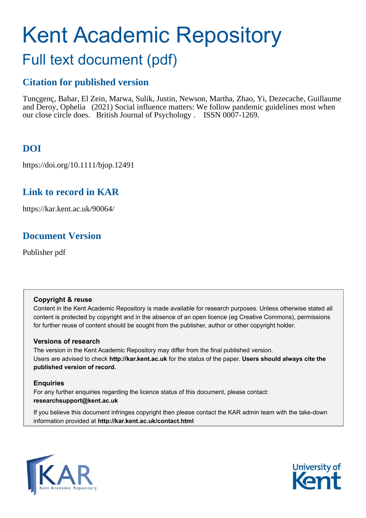# Kent Academic Repository

# Full text document (pdf)

# **Citation for published version**

Tunçgenç, Bahar, El Zein, Marwa, Sulik, Justin, Newson, Martha, Zhao, Yi, Dezecache, Guillaume and Deroy, Ophelia (2021) Social influence matters: We follow pandemic guidelines most when our close circle does. British Journal of Psychology . ISSN 0007-1269.

# **DOI**

https://doi.org/10.1111/bjop.12491

# **Link to record in KAR**

https://kar.kent.ac.uk/90064/

# **Document Version**

Publisher pdf

# **Copyright & reuse**

Content in the Kent Academic Repository is made available for research purposes. Unless otherwise stated all content is protected by copyright and in the absence of an open licence (eg Creative Commons), permissions for further reuse of content should be sought from the publisher, author or other copyright holder.

# **Versions of research**

The version in the Kent Academic Repository may differ from the final published version. Users are advised to check **http://kar.kent.ac.uk** for the status of the paper. **Users should always cite the published version of record.**

# **Enquiries**

For any further enquiries regarding the licence status of this document, please contact: **researchsupport@kent.ac.uk**

If you believe this document infringes copyright then please contact the KAR admin team with the take-down information provided at **http://kar.kent.ac.uk/contact.html**



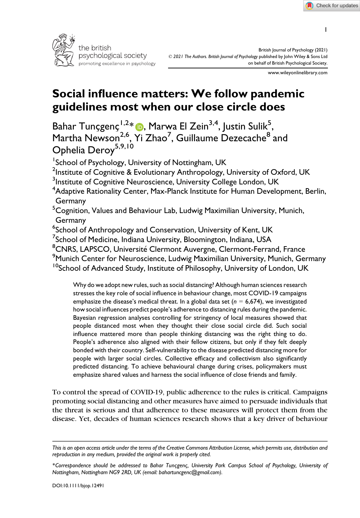1



www.wileyonlinelibrary.com

# Social influence matters: We follow pandemic guidelines most when our close circle does

Bahar Tunçgenç $\frac{1.2*}{\epsilon}$  , Marwa El Zein $^{3,4}$ , Justin Sulik $^{5}$ , Martha Newson<sup>2,6</sup>, Yi Zhao<sup>7</sup>, Guillaume Dezecache<sup>8</sup> and Ophelia Deroy<sup>5,9,10</sup>

<sup>1</sup>School of Psychology, University of Nottingham, UK

 $^2$ Institute of Cognitive & Evolutionary Anthropology, University of Oxford, UK

<sup>3</sup>Institute of Cognitive Neuroscience, University College London, UK

 ${\rm ^4}$ Adaptive Rationality Center, Max-Planck Institute for Human Development, Berlin, Germany

<sup>5</sup>Cognition, Values and Behaviour Lab, Ludwig Maximilian University, Munich, Germany

6 School of Anthropology and Conservation, University of Kent, UK

 $^7$ School of Medicine, Indiana University, Bloomington, Indiana, USA

<sup>8</sup>CNRS, LAPSCO, Université Clermont Auvergne, Clermont-Ferrand, France

 $^9$ Munich Center for Neuroscience, Ludwig Maximilian University, Munich, Germany

<sup>10</sup>School of Advanced Study, Institute of Philosophy, University of London, UK

Why do we adopt new rules, such as social distancing? Although human sciences research stresses the key role of social influence in behaviour change, most COVID-19 campaigns emphasize the disease's medical threat. In a global data set ( $n = 6,674$ ), we investigated how social influences predict people's adherence to distancing rules during the pandemic. Bayesian regression analyses controlling for stringency of local measures showed that people distanced most when they thought their close social circle did. Such social influence mattered more than people thinking distancing was the right thing to do. People's adherence also aligned with their fellow citizens, but only if they felt deeply bonded with their country. Self-vulnerability to the disease predicted distancing more for people with larger social circles. Collective efficacy and collectivism also significantly predicted distancing. To achieve behavioural change during crises, policymakers must emphasize shared values and harness the social influence of close friends and family.

To control the spread of COVID-19, public adherence to the rules is critical. Campaigns promoting social distancing and other measures have aimed to persuade individuals that the threat is serious and that adherence to these measures will protect them from the disease. Yet, decades of human sciences research shows that a key driver of behaviour

This is an open access article under the terms of the [Creative Commons Attribution](http://creativecommons.org/licenses/by/4.0/) License, which permits use, distribution and reproduction in any medium, provided the original work is properly cited.

<sup>\*</sup>Correspondence should be addressed to Bahar Tuncgenc, University Park Campus School of Psychology, University of Nottingham, Nottingham NG9 2RD, UK (email: [bahartuncgenc@gmail.com\)](mailto:).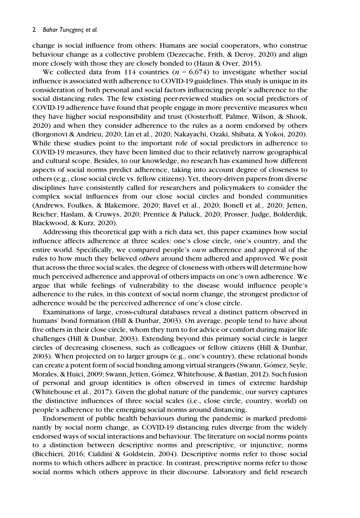change is social influence from others: Humans are social cooperators, who construe behaviour change as a collective problem (Dezecache, Frith, & Deroy, 2020) and align more closely with those they are closely bonded to (Haun & Over, 2015).

We collected data from 114 countries ( $n = 6.674$ ) to investigate whether social influence is associated with adherence to COVID-19 guidelines. This study is unique in its consideration of both personal and social factors influencing people's adherence to the social distancing rules. The few existing peer-reviewed studies on social predictors of COVID-19 adherence have found that people engage in more preventive measures when they have higher social responsibility and trust (Oosterhoff, Palmer, Wilson, & Shook, 2020) and when they consider adherence to the rules as a norm endorsed by others (Borgonovi & Andrieu, 2020; Lin et al., 2020; Nakayachi, Ozaki, Shibata, & Yokoi, 2020). While these studies point to the important role of social predictors in adherence to COVID-19 measures, they have been limited due to their relatively narrow geographical and cultural scope. Besides, to our knowledge, no research has examined how different aspects of social norms predict adherence, taking into account degree of closeness to others (e.g., close social circle vs. fellow citizens). Yet, theory-driven papers from diverse disciplines have consistently called for researchers and policymakers to consider the complex social influences from our close social circles and bonded communities (Andrews, Foulkes, & Blakemore, 2020; Bavel et al., 2020; Bonell et al., 2020; Jetten, Reicher, Haslam, & Cruwys, 2020; Prentice & Paluck, 2020; Prosser, Judge, Bolderdijk, Blackwood, & Kurz, 2020).

Addressing this theoretical gap with a rich data set, this paper examines how social influence affects adherence at three scales: one's close circle, one's country, and the entire world. Specifically, we compared people's *own* adherence and approval of the rules to how much they believed others around them adhered and approved. We posit that across the three social scales, the degree of closeness with others will determine how much perceived adherence and approval of others impacts on one's own adherence. We argue that while feelings of vulnerability to the disease would influence people's adherence to the rules, in this context of social norm change, the strongest predictor of adherence would be the perceived adherence of one's close circle.

Examinations of large, cross-cultural databases reveal a distinct pattern observed in humans' bond formation (Hill & Dunbar, 2003). On average, people tend to have about five others in their close circle, whom they turn to for advice or comfort during major life challenges (Hill & Dunbar, 2003). Extending beyond this primary social circle is larger circles of decreasing closeness, such as colleagues or fellow citizens (Hill & Dunbar, 2003). When projected on to larger groups (e.g., one's country), these relational bonds can create a potent form of social bonding among virtual strangers (Swann, Gómez, Seyle, Morales, & Huici, 2009; Swann, Jetten, Gomez, Whitehouse, & Bastian, 2012). Such fusion of personal and group identities is often observed in times of extreme hardship (Whitehouse et al., 2017). Given the global nature of the pandemic, our survey captures the distinctive influences of three social scales (i.e., close circle, country, world) on people's adherence to the emerging social norms around distancing.

Endorsement of public health behaviours during the pandemic is marked predominantly by social norm change, as COVID-19 distancing rules diverge from the widely endorsed ways of social interactions and behaviour. The literature on social norms points to a distinction between descriptive norms and prescriptive, or injunctive, norms (Bicchieri, 2016; Cialdini & Goldstein, 2004). Descriptive norms refer to those social norms to which others adhere in practice. In contrast, prescriptive norms refer to those social norms which others approve in their discourse. Laboratory and field research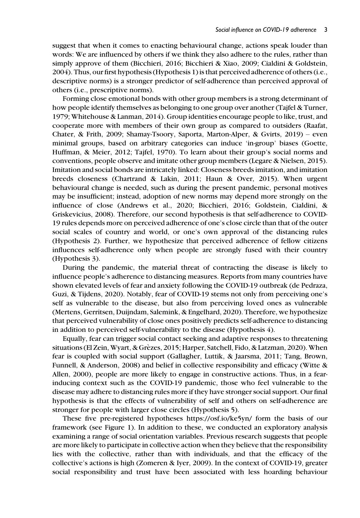suggest that when it comes to enacting behavioural change, actions speak louder than words: We are influenced by others if we think they also adhere to the rules, rather than simply approve of them (Bicchieri, 2016; Bicchieri & Xiao, 2009; Cialdini & Goldstein, 2004). Thus, our first hypothesis (Hypothesis 1) is that perceived adherence of others (i.e., descriptive norms) is a stronger predictor of self-adherence than perceived approval of others (i.e., prescriptive norms).

Forming close emotional bonds with other group members is a strong determinant of how people identify themselves as belonging to one group over another (Tajfel & Turner, 1979; Whitehouse & Lanman, 2014). Group identities encourage people to like, trust, and cooperate more with members of their own group as compared to outsiders (Raafat, Chater, & Frith, 2009; Shamay-Tsoory, Saporta, Marton-Alper, & Gvirts, 2019) – even minimal groups, based on arbitrary categories can induce 'in-group' biases (Goette, Huffman, & Meier, 2012; Tajfel, 1970). To learn about their group's social norms and conventions, people observe and imitate other group members (Legare & Nielsen, 2015). Imitation and social bonds are intricately linked: Closeness breeds imitation, and imitation breeds closeness (Chartrand & Lakin, 2011; Haun & Over, 2015). When urgent behavioural change is needed, such as during the present pandemic, personal motives may be insufficient; instead, adoption of new norms may depend more strongly on the influence of close (Andrews et al., 2020; Bicchieri, 2016; Goldstein, Cialdini, & Griskevicius, 2008). Therefore, our second hypothesis is that self-adherence to COVID-19 rules depends more on perceived adherence of one's close circle than that of the outer social scales of country and world, or one's own approval of the distancing rules (Hypothesis 2). Further, we hypothesize that perceived adherence of fellow citizens influences self-adherence only when people are strongly fused with their country (Hypothesis 3).

During the pandemic, the material threat of contracting the disease is likely to influence people's adherence to distancing measures. Reports from many countries have shown elevated levels of fear and anxiety following the COVID-19 outbreak (de Pedraza, Guzi, & Tijdens, 2020). Notably, fear of COVID-19 stems not only from perceiving one's self as vulnerable to the disease, but also from perceiving loved ones as vulnerable (Mertens, Gerritsen, Duijndam, Salemink, & Engelhard, 2020). Therefore, we hypothesize that perceived vulnerability of close ones positively predicts self-adherence to distancing in addition to perceived self-vulnerability to the disease (Hypothesis 4).

Equally, fear can trigger social contact seeking and adaptive responses to threatening situations (El Zein, Wyart, & Grezes, 2015; Harper, Satchell, Fido, & Latzman, 2020). When fear is coupled with social support (Gallagher, Luttik, & Jaarsma, 2011; Tang, Brown, Funnell, & Anderson, 2008) and belief in collective responsibility and efficacy (Witte & Allen, 2000), people are more likely to engage in constructive actions. Thus, in a fearinducing context such as the COVID-19 pandemic, those who feel vulnerable to the disease may adhere to distancing rules more if they have stronger social support. Our final hypothesis is that the effects of vulnerability of self and others on self-adherence are stronger for people with larger close circles (Hypothesis 5).

These five pre-registered hypotheses https://osf.io/ke5yn/ form the basis of our framework (see Figure 1). In addition to these, we conducted an exploratory analysis examining a range of social orientation variables. Previous research suggests that people are more likely to participate in collective action when they believe that the responsibility lies with the collective, rather than with individuals, and that the efficacy of the collective's actions is high (Zomeren & Iyer, 2009). In the context of COVID-19, greater social responsibility and trust have been associated with less hoarding behaviour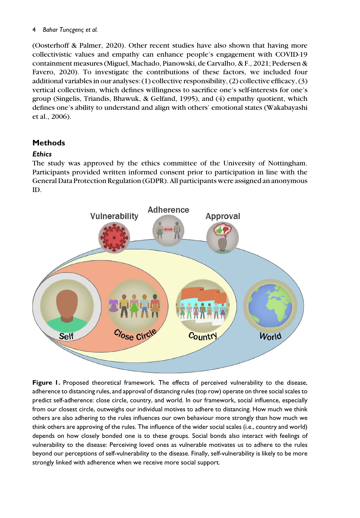#### 4 Bahar Tuncgenc et al.

(Oosterhoff & Palmer, 2020). Other recent studies have also shown that having more collectivistic values and empathy can enhance people's engagement with COVID-19 containment measures (Miguel, Machado, Pianowski, de Carvalho, & F., 2021; Pedersen & Favero, 2020). To investigate the contributions of these factors, we included four additional variables in our analyses: (1) collective responsibility, (2) collective efficacy, (3) vertical collectivism, which defines willingness to sacrifice one's self-interests for one's group (Singelis, Triandis, Bhawuk, & Gelfand, 1995), and (4) empathy quotient, which defines one's ability to understand and align with others' emotional states (Wakabayashi et al., 2006).

## Methods

## **Ethics**

The study was approved by the ethics committee of the University of Nottingham. Participants provided written informed consent prior to participation in line with the General Data Protection Regulation (GDPR). All participants were assigned an anonymous ID.



Figure 1. Proposed theoretical framework. The effects of perceived vulnerability to the disease, adherence to distancing rules, and approval of distancing rules (top row) operate on three social scales to predict self-adherence: close circle, country, and world. In our framework, social influence, especially from our closest circle, outweighs our individual motives to adhere to distancing. How much we think others are also adhering to the rules influences our own behaviour more strongly than how much we think others are approving of the rules. The influence of the wider social scales (i.e., country and world) depends on how closely bonded one is to these groups. Social bonds also interact with feelings of vulnerability to the disease: Perceiving loved ones as vulnerable motivates us to adhere to the rules beyond our perceptions of self-vulnerability to the disease. Finally, self-vulnerability is likely to be more strongly linked with adherence when we receive more social support.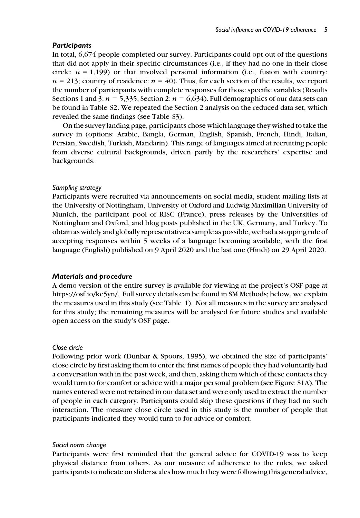#### **Participants**

In total, 6,674 people completed our survey. Participants could opt out of the questions that did not apply in their specific circumstances (i.e., if they had no one in their close circle:  $n = 1,199$  or that involved personal information (i.e., fusion with country:  $n = 213$ ; country of residence:  $n = 40$ ). Thus, for each section of the results, we report the number of participants with complete responses for those specific variables (Results Sections 1 and 3:  $n = 5,335$ , Section 2:  $n = 6,634$ ). Full demographics of our data sets can be found in Table S2. We repeated the Section 2 analysis on the reduced data set, which revealed the same findings (see Table S3).

On the survey landing page, participants chose which language they wished to take the survey in (options: Arabic, Bangla, German, English, Spanish, French, Hindi, Italian, Persian, Swedish, Turkish, Mandarin). This range of languages aimed at recruiting people from diverse cultural backgrounds, driven partly by the researchers' expertise and backgrounds.

#### Sampling strategy

Participants were recruited via announcements on social media, student mailing lists at the University of Nottingham, University of Oxford and Ludwig Maximilian University of Munich, the participant pool of RISC (France), press releases by the Universities of Nottingham and Oxford, and blog posts published in the UK, Germany, and Turkey. To obtain as widely and globally representative a sample as possible, we had a stopping rule of accepting responses within 5 weeks of a language becoming available, with the first language (English) published on 9 April 2020 and the last one (Hindi) on 29 April 2020.

#### Materials and procedure

A demo version of the entire survey is available for viewing at the project's OSF page at https://osf.io/ke5yn/. Full survey details can be found in SM Methods; below, we explain the measures used in this study (see Table 1). Not all measures in the survey are analysed for this study; the remaining measures will be analysed for future studies and available open access on the study's OSF page.

#### Close circle

Following prior work (Dunbar & Spoors, 1995), we obtained the size of participants' close circle by first asking them to enter the first names of people they had voluntarily had a conversation with in the past week, and then, asking them which of these contacts they would turn to for comfort or advice with a major personal problem (see Figure S1A). The names entered were not retained in our data set and were only used to extract the number of people in each category. Participants could skip these questions if they had no such interaction. The measure close circle used in this study is the number of people that participants indicated they would turn to for advice or comfort.

#### Social norm change

Participants were first reminded that the general advice for COVID-19 was to keep physical distance from others. As our measure of adherence to the rules, we asked participants to indicate on slider scales how much they were following this general advice,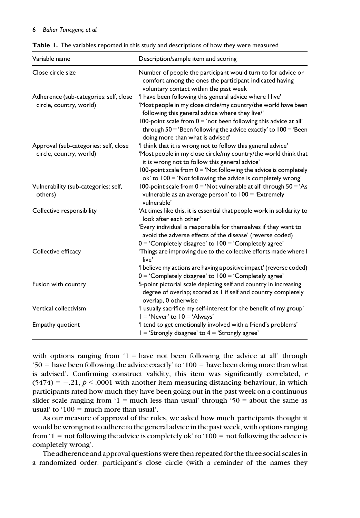#### 6 Bahar Tuncgenc et al.

|  | Table 1. The variables reported in this study and descriptions of how they were measured |  |  |  |
|--|------------------------------------------------------------------------------------------|--|--|--|
|--|------------------------------------------------------------------------------------------|--|--|--|

| Variable name                                                     | Description/sample item and scoring                                                                                                                                                                                                                                                                                        |  |  |
|-------------------------------------------------------------------|----------------------------------------------------------------------------------------------------------------------------------------------------------------------------------------------------------------------------------------------------------------------------------------------------------------------------|--|--|
| Close circle size                                                 | Number of people the participant would turn to for advice or<br>comfort among the ones the participant indicated having<br>voluntary contact within the past week                                                                                                                                                          |  |  |
| Adherence (sub-categories: self, close<br>circle, country, world) | 'I have been following this general advice where I live'<br>'Most people in my close circle/my country/the world have been<br>following this general advice where they live/'<br>100-point scale from $0 = 'not$ been following this advice at all'<br>through $50 = 'Been$ following the advice exactly' to $100 = 'Been$ |  |  |
| Approval (sub-categories: self, close<br>circle, country, world)  | doing more than what is advised'<br>'I think that it is wrong not to follow this general advice'<br>'Most people in my close circle/my country/the world think that<br>it is wrong not to follow this general advice'<br>100-point scale from $0 = 'Not$ following the advice is completely                                |  |  |
| Vulnerability (sub-categories: self,<br>others)                   | $ok'$ to $100 = 'Not$ following the advice is completely wrong'<br>100-point scale from $0 = 'Not$ vulnerable at all' through $50 = 'As$<br>vulnerable as an average person' to $100 = 'Extremely$                                                                                                                         |  |  |
| Collective responsibility                                         | vulnerable'<br>'At times like this, it is essential that people work in solidarity to<br>look after each other'<br>'Every individual is responsible for themselves if they want to<br>avoid the adverse effects of the disease' (reverse coded)                                                                            |  |  |
| Collective efficacy                                               | $0 = 'Completely disagree' to 100 = 'Completely agree'$<br>'Things are improving due to the collective efforts made where I                                                                                                                                                                                                |  |  |
|                                                                   | live'<br>'I believe my actions are having a positive impact' (reverse coded)<br>$0 = 'Completely disagree'$ to $100 = 'Completely agree'$                                                                                                                                                                                  |  |  |
| Fusion with country                                               | 5-point pictorial scale depicting self and country in increasing<br>degree of overlap; scored as I if self and country completely<br>overlap, 0 otherwise                                                                                                                                                                  |  |  |
| Vertical collectivism                                             | 'I usually sacrifice my self-interest for the benefit of my group'<br>$I = 'Never'$ to $I0 = 'Always'$                                                                                                                                                                                                                     |  |  |
| Empathy quotient                                                  | 'I tend to get emotionally involved with a friend's problems'<br>$I = 'Strongly disagree' to 4 = 'Strongly agree'$                                                                                                                                                                                                         |  |  |

with options ranging from  $1 =$  have not been following the advice at all' through  $50 =$  have been following the advice exactly' to '100 = have been doing more than what is advised'. Confirming construct validity, this item was significantly correlated,  $r$  $(5474) = -.21$ ,  $p < .0001$  with another item measuring distancing behaviour, in which participants rated how much they have been going out in the past week on a continuous slider scale ranging from '1 = much less than usual' through '50 = about the same as usual' to ' $100 =$  much more than usual'.

As our measure of approval of the rules, we asked how much participants thought it would be wrong not to adhere to the general advice in the past week, with options ranging from '1 = not following the advice is completely ok' to '100 = not following the advice is completely wrong'.

The adherence and approval questions were then repeated for the three social scales in a randomized order: participant's close circle (with a reminder of the names they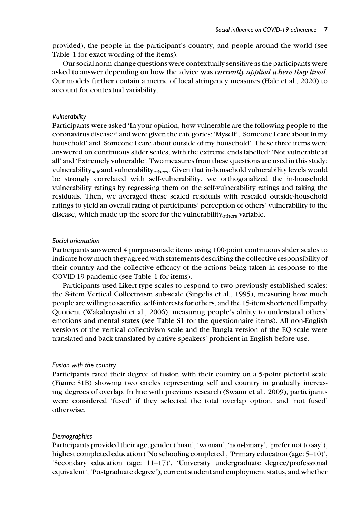provided), the people in the participant's country, and people around the world (see Table 1 for exact wording of the items).

Our social norm change questions were contextually sensitive as the participants were asked to answer depending on how the advice was *currently applied where they lived*. Our models further contain a metric of local stringency measures (Hale et al., 2020) to account for contextual variability.

#### Vulnerability

Participants were asked 'In your opinion, how vulnerable are the following people to the coronavirus disease?' and were given the categories: 'Myself', 'Someone I care about in my household' and 'Someone I care about outside of my household'. These three items were answered on continuous slider scales, with the extreme ends labelled: 'Not vulnerable at all' and 'Extremely vulnerable'. Two measures from these questions are used in this study: vulnerability<sub>self</sub> and vulnerability<sub>others</sub>. Given that in-household vulnerability levels would be strongly correlated with self-vulnerability, we orthogonalized the in-household vulnerability ratings by regressing them on the self-vulnerability ratings and taking the residuals. Then, we averaged these scaled residuals with rescaled outside-household ratings to yield an overall rating of participants' perception of others' vulnerability to the disease, which made up the score for the vulnerability<sub>others</sub> variable.

#### Social orientation

Participants answered 4 purpose-made items using 100-point continuous slider scales to indicate how much they agreed with statements describing the collective responsibility of their country and the collective efficacy of the actions being taken in response to the COVID-19 pandemic (see Table 1 for items).

Participants used Likert-type scales to respond to two previously established scales: the 8-item Vertical Collectivism sub-scale (Singelis et al., 1995), measuring how much people are willing to sacrifice self-interests for others, and the 15-item shortened Empathy Quotient (Wakabayashi et al., 2006), measuring people's ability to understand others' emotions and mental states (see Table S1 for the questionnaire items). All non-English versions of the vertical collectivism scale and the Bangla version of the EQ scale were translated and back-translated by native speakers' proficient in English before use.

#### Fusion with the country

Participants rated their degree of fusion with their country on a 5-point pictorial scale (Figure S1B) showing two circles representing self and country in gradually increasing degrees of overlap. In line with previous research (Swann et al., 2009), participants were considered 'fused' if they selected the total overlap option, and 'not fused' otherwise.

#### **Demographics**

Participants provided their age, gender ('man', 'woman', 'non-binary', 'prefer not to say'), highest completed education ('No schooling completed', 'Primary education (age: 5–10)', 'Secondary education (age:  $11-17$ )', 'University undergraduate degree/professional equivalent', 'Postgraduate degree'), current student and employment status, and whether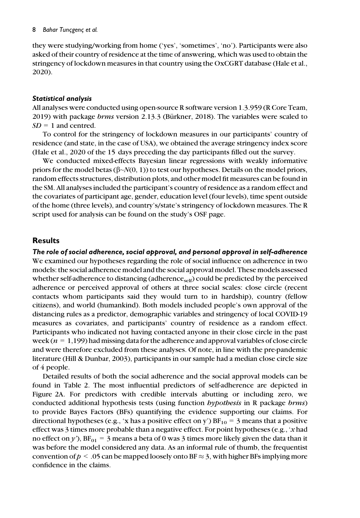they were studying/working from home ('yes', 'sometimes', 'no'). Participants were also asked of their country of residence at the time of answering, which was used to obtain the stringency of lockdown measures in that country using the OxCGRT database (Hale et al., 2020).

#### Statistical analysis

All analyses were conducted using open-source R software version 1.3.959 (R Core Team, 2019) with package  $brms$  version 2.13.3 (Bürkner, 2018). The variables were scaled to  $SD = 1$  and centred.

To control for the stringency of lockdown measures in our participants' country of residence (and state, in the case of USA), we obtained the average stringency index score (Hale et al., 2020 of the 15 days preceding the day participants filled out the survey.

We conducted mixed-effects Bayesian linear regressions with weakly informative priors for the model betas ( $\beta \sim N(0, 1)$ ) to test our hypotheses. Details on the model priors, random effects structures, distribution plots, and other model fit measures can be found in the SM. All analyses included the participant's country of residence as a random effect and the covariates of participant age, gender, education level (four levels), time spent outside of the home (three levels), and country's/state's stringency of lockdown measures. The R script used for analysis can be found on the study's OSF page.

## **Results**

The role of social adherence, social approval, and personal approval in self-adherence We examined our hypotheses regarding the role of social influence on adherence in two models: the social adherence model and the social approval model. These models assessed whether self-adherence to distancing (adherence $s_{\rm eif}$ ) could be predicted by the perceived adherence or perceived approval of others at three social scales: close circle (recent contacts whom participants said they would turn to in hardship), country (fellow citizens), and world (humankind). Both models included people's own approval of the distancing rules as a predictor, demographic variables and stringency of local COVID-19 measures as covariates, and participants' country of residence as a random effect. Participants who indicated not having contacted anyone in their close circle in the past week ( $n = 1,199$ ) had missing data for the adherence and approval variables of close circle and were therefore excluded from these analyses. Of note, in line with the pre-pandemic literature (Hill & Dunbar, 2003), participants in our sample had a median close circle size of 4 people.

Detailed results of both the social adherence and the social approval models can be found in Table 2. The most influential predictors of self-adherence are depicted in Figure 2A. For predictors with credible intervals abutting or including zero, we conducted additional hypothesis tests (using function hypothesis in R package brms) to provide Bayes Factors (BFs) quantifying the evidence supporting our claims. For directional hypotheses (e.g., 'x has a positive effect on y')  $BF_{10} = 3$  means that a positive effect was 3 times more probable than a negative effect. For point hypotheses (e.g., 'x had no effect on y'),  $BF_{01} = 3$  means a beta of 0 was 3 times more likely given the data than it was before the model considered any data. As an informal rule of thumb, the frequentist convention of  $p < 0.05$  can be mapped loosely onto BF  $\approx 3$ , with higher BFs implying more confidence in the claims.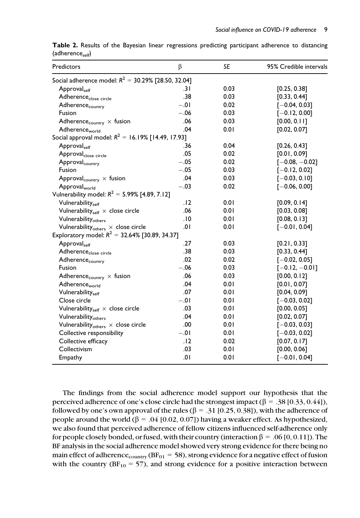| Predictors                                             | β       | <b>SE</b> | 95% Credible intervals |
|--------------------------------------------------------|---------|-----------|------------------------|
| Social adherence model: $R^2 = 30.29\%$ [28.50, 32.04] |         |           |                        |
| Approval <sub>self</sub>                               | .3 I    | 0.03      | [0.25, 0.38]           |
| Adherence <sub>close circle</sub>                      | .38     | 0.03      | [0.33, 0.44]           |
| Adherence <sub>country</sub>                           | $-0.01$ | 0.02      | $[-0.04, 0.03]$        |
| Fusion                                                 | $-.06$  | 0.03      | $[-0.12, 0.00]$        |
| Adherence <sub>country</sub> $\times$ fusion           | .06     | 0.03      | [0.00, 0.11]           |
| Adherence <sub>world</sub>                             | .04     | 0.01      | [0.02, 0.07]           |
| Social approval model: $R^2 = 16.19\%$ [14.49, 17.93]  |         |           |                        |
| Approvalself                                           | .36     | 0.04      | [0.26, 0.43]           |
| Approval <sub>close circle</sub>                       | .05     | 0.02      | [0.01, 0.09]           |
| Approval <sub>country</sub>                            | $-.05$  | 0.02      | $[-0.08, -0.02]$       |
| Fusion                                                 | $-.05$  | 0.03      | $[-0.12, 0.02]$        |
| Approval <sub>country</sub> $\times$ fusion            | .04     | 0.03      | $[-0.03, 0.10]$        |
| Approval <sub>world</sub>                              | $-.03$  | 0.02      | $[-0.06, 0.00]$        |
| Vulnerability model: $R^2 = 5.99\%$ [4.89, 7.12]       |         |           |                        |
| Vulnerability <sub>self</sub>                          | . 12    | 0.01      | [0.09, 0.14]           |
| Vulnerability <sub>self</sub> $\times$ close circle    | .06     | 0.01      | [0.03, 0.08]           |
| Vulnerability <sub>others</sub>                        | .10     | 0.01      | [0.08, 0.13]           |
| Vulnerability $_{\text{others}} \times$ close circle   | .01     | 0.01      | $[-0.01, 0.04]$        |
| Exploratory model: $R^2 = 32.64\%$ [30.89, 34.37]      |         |           |                        |
| Approvalself                                           | .27     | 0.03      | [0.21, 0.33]           |
| Adherence <sub>close circle</sub>                      | .38     | 0.03      | [0.33, 0.44]           |
| Adherence <sub>country</sub>                           | .02     | 0.02      | $[-0.02, 0.05]$        |
| Fusion                                                 | $-.06$  | 0.03      | $[-0.12, -0.01]$       |
| Adherence <sub>country</sub> $\times$ fusion           | .06     | 0.03      | [0.00, 0.12]           |
| Adherence <sub>world</sub>                             | .04     | 0.01      | [0.01, 0.07]           |
| Vulnerabilityself                                      | .07     | 0.01      | [0.04, 0.09]           |
| Close circle                                           | $-.01$  | 0.01      | $[-0.03, 0.02]$        |
| Vulnerability <sub>self</sub> $\times$ close circle    | .03     | 0.01      | [0.00, 0.05]           |
| Vulnerability <sub>others</sub>                        | .04     | 0.01      | [0.02, 0.07]           |
| Vulnerability $_{\text{others}} \times$ close circle   | .00     | 0.01      | $[-0.03, 0.03]$        |
| Collective responsibility                              | $-.01$  | 0.01      | $[-0.03, 0.02]$        |
| Collective efficacy                                    | .12     | 0.02      | [0.07, 0.17]           |
| Collectivism                                           | .03     | 0.01      | [0.00, 0.06]           |
| Empathy                                                | 10.     | 0.01      | $[-0.01, 0.04]$        |

Table 2. Results of the Bayesian linear regressions predicting participant adherence to distancing  $(adherence<sub>self</sub>)$ 

The findings from the social adherence model support our hypothesis that the perceived adherence of one's close circle had the strongest impact ( $\beta = .38$  [0.33, 0.44]), followed by one's own approval of the rules ( $\beta = .31$  [0.25, 0.38]), with the adherence of people around the world ( $\beta = .04$  [0.02, 0.07]) having a weaker effect. As hypothesized, we also found that perceived adherence of fellow citizens influenced self-adherence only for people closely bonded, or fused, with their country (interaction  $\beta = .06 [0, 0.11]$ ). The BF analysis in the social adherence model showed very strong evidence for there being no main effect of adherence<sub>country</sub> ( $BF_{01} = 58$ ), strong evidence for a negative effect of fusion with the country  $(BF_{10} = 57)$ , and strong evidence for a positive interaction between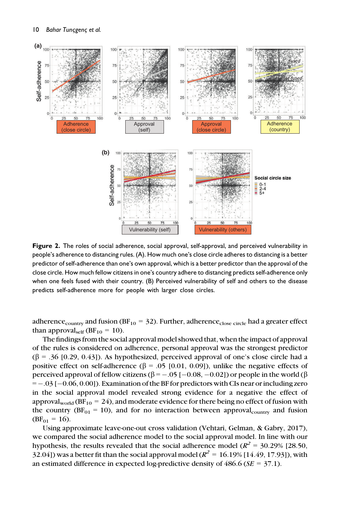

Figure 2. The roles of social adherence, social approval, self-approval, and perceived vulnerability in people's adherence to distancing rules. (A). How much one's close circle adheres to distancing is a better predictor of self-adherence than one's own approval, which is a better predictor than the approval of the close circle. How much fellow citizens in one's country adhere to distancing predicts self-adherence only when one feels fused with their country. (B) Perceived vulnerability of self and others to the disease predicts self-adherence more for people with larger close circles.

adherence<sub>country</sub> and fusion (BF<sub>10</sub> = 32). Further, adherence<sub>close circle</sub> had a greater effect than approval<sub>self</sub> (BF<sub>10</sub> = 10).

The findings from the social approval model showed that, when the impact of approval of the rules is considered on adherence, personal approval was the strongest predictor  $(\beta = .36 \, [0.29, 0.43])$ . As hypothesized, perceived approval of one's close circle had a positive effect on self-adherence ( $\beta$  = .05 [0.01, 0.09]), unlike the negative effects of perceived approval of fellow citizens ( $\beta = -.05$  [ $-0.08, -0.02$ ]) or people in the world ( $\beta$  $=$  -0.05 [-0.06, 0.00]). Examination of the BF for predictors with CIs near or including zero in the social approval model revealed strong evidence for a negative the effect of approval<sub>world</sub> (BF<sub>10</sub> = 24), and moderate evidence for there being no effect of fusion with the country ( $BF_{01} = 10$ ), and for no interaction between approval<sub>country</sub> and fusion  $(BF_{01} = 16)$ .

Using approximate leave-one-out cross validation (Vehtari, Gelman, & Gabry, 2017), we compared the social adherence model to the social approval model. In line with our hypothesis, the results revealed that the social adherence model ( $R^2 = 30.29\%$  [28.50, 32.04]) was a better fit than the social approval model ( $R^2 = 16.19\%$  [14.49, 17.93]), with an estimated difference in expected log-predictive density of  $486.6$  ( $SE = 37.1$ ).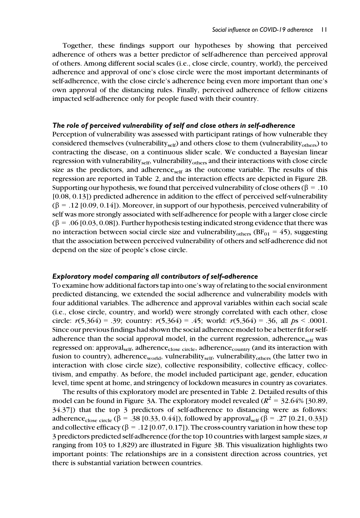Together, these findings support our hypotheses by showing that perceived adherence of others was a better predictor of self-adherence than perceived approval of others. Among different social scales (i.e., close circle, country, world), the perceived adherence and approval of one's close circle were the most important determinants of self-adherence, with the close circle's adherence being even more important than one's own approval of the distancing rules. Finally, perceived adherence of fellow citizens impacted self-adherence only for people fused with their country.

#### The role of perceived vulnerability of self and close others in self-adherence

Perception of vulnerability was assessed with participant ratings of how vulnerable they considered themselves (vulnerability<sub>self</sub>) and others close to them (vulnerability<sub>others</sub>) to contracting the disease, on a continuous slider scale. We conducted a Bayesian linear regression with vulnerability<sub>self</sub>, vulnerability<sub>others</sub> and their interactions with close circle size as the predictors, and adherence $s_{\text{self}}$  as the outcome variable. The results of this regression are reported in Table 2, and the interaction effects are depicted in Figure 2B. Supporting our hypothesis, we found that perceived vulnerability of close others ( $\beta = .10$ ) [0.08, 0.13]) predicted adherence in addition to the effect of perceived self-vulnerability  $(\beta = .12 \, [0.09, 0.14])$ . Moreover, in support of our hypothesis, perceived vulnerability of self was more strongly associated with self-adherence for people with a larger close circle  $(\beta = .06 \, [0.03, 0.08])$ . Further hypothesis testing indicated strong evidence that there was no interaction between social circle size and vulnerability<sub>others</sub> (BF<sub>01</sub> = 45), suggesting that the association between perceived vulnerability of others and self-adherence did not depend on the size of people's close circle.

#### Exploratory model comparing all contributors of self-adherence

To examine how additional factors tap into one's way of relating to the social environment predicted distancing, we extended the social adherence and vulnerability models with four additional variables. The adherence and approval variables within each social scale (i.e., close circle, country, and world) were strongly correlated with each other, close circle:  $r(5,364) = .39$ ; country:  $r(5,364) = .45$ ; world:  $r(5,364) = .36$ , all  $ps < .0001$ . Since our previous findings had shown the social adherence model to be a better fit for selfadherence than the social approval model, in the current regression, adherence $_{\rm self}$  was regressed on: approval<sub>self</sub>, adherence<sub>close circle</sub>, adherence<sub>country</sub> (and its interaction with fusion to country), adherenceworld, vulnerabilityself, vulnerabilityothers (the latter two in interaction with close circle size), collective responsibility, collective efficacy, collectivism, and empathy. As before, the model included participant age, gender, education level, time spent at home, and stringency of lockdown measures in country as covariates.

The results of this exploratory model are presented in Table 2. Detailed results of this model can be found in Figure 3A. The exploratory model revealed ( $R^2 = 32.64\%$  [30.89, 34.37]) that the top 3 predictors of self-adherence to distancing were as follows: adherence<sub>close circle</sub> ( $\beta$  = .38 [0.33, 0.44]), followed by approval<sub>self</sub> ( $\beta$  = .27 [0.21, 0.33]) and collective efficacy ( $\beta = .12$  [0.07, 0.17]). The cross-country variation in how these top 3 predictors predicted self-adherence (for the top 10 countries with largest sample sizes,  $n$ ranging from 103 to 1,829) are illustrated in Figure 3B. This visualization highlights two important points: The relationships are in a consistent direction across countries, yet there is substantial variation between countries.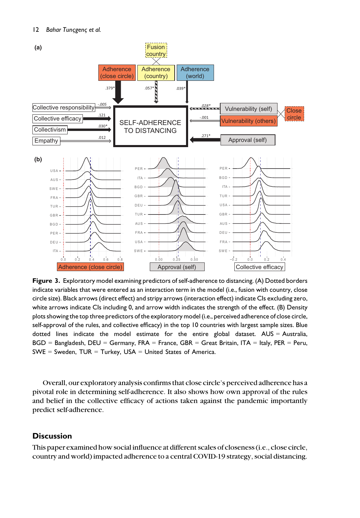

Figure 3. Exploratory model examining predictors of self-adherence to distancing. (A) Dotted borders indicate variables that were entered as an interaction term in the model (i.e., fusion with country, close circle size). Black arrows (direct effect) and stripy arrows (interaction effect) indicate CIs excluding zero, white arrows indicate CIs including 0, and arrow width indicates the strength of the effect. (B) Density plots showing the top three predictors of the exploratory model (i.e., perceived adherence of close circle, self-approval of the rules, and collective efficacy) in the top 10 countries with largest sample sizes. Blue dotted lines indicate the model estimate for the entire global dataset. AUS = Australia,  $BGD =$  Bangladesh,  $DEU =$  Germany, FRA = France, GBR = Great Britain, ITA = Italy, PER = Peru,  $SWE = Sweden$ ,  $TUR = Turkey$ ,  $USA = United States of America$ .

Overall, our exploratory analysis confirms that close circle's perceived adherence has a pivotal role in determining self-adherence. It also shows how own approval of the rules and belief in the collective efficacy of actions taken against the pandemic importantly predict self-adherence.

## **Discussion**

This paper examined how social influence at different scales of closeness (i.e., close circle, country and world) impacted adherence to a central COVID-19 strategy, social distancing.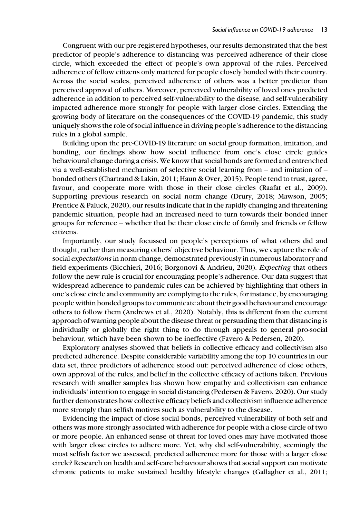Congruent with our pre-registered hypotheses, our results demonstrated that the best predictor of people's adherence to distancing was perceived adherence of their close circle, which exceeded the effect of people's own approval of the rules. Perceived adherence of fellow citizens only mattered for people closely bonded with their country. Across the social scales, perceived adherence of others was a better predictor than perceived approval of others. Moreover, perceived vulnerability of loved ones predicted adherence in addition to perceived self-vulnerability to the disease, and self-vulnerability impacted adherence more strongly for people with larger close circles. Extending the growing body of literature on the consequences of the COVID-19 pandemic, this study uniquely shows the role of social influence in driving people's adherence to the distancing rules in a global sample.

Building upon the pre-COVID-19 literature on social group formation, imitation, and bonding, our findings show how social influence from one's close circle guides behavioural change during a crisis. We know that social bonds are formed and entrenched via a well-established mechanism of selective social learning from – and imitation of – bonded others (Chartrand & Lakin, 2011; Haun & Over, 2015). People tend to trust, agree, favour, and cooperate more with those in their close circles (Raafat et al., 2009). Supporting previous research on social norm change (Drury, 2018; Mawson, 2005; Prentice & Paluck, 2020), our results indicate that in the rapidly changing and threatening pandemic situation, people had an increased need to turn towards their bonded inner groups for reference – whether that be their close circle of family and friends or fellow citizens.

Importantly, our study focussed on people's perceptions of what others did and thought, rather than measuring others' objective behaviour. Thus, we capture the role of social expectations in norm change, demonstrated previously in numerous laboratory and field experiments (Bicchieri, 2016; Borgonovi & Andrieu, 2020). Expecting that others follow the new rule is crucial for encouraging people's adherence. Our data suggest that widespread adherence to pandemic rules can be achieved by highlighting that others in one's close circle and community are complying to the rules, for instance, by encouraging people within bonded groups to communicate about their good behaviour and encourage others to follow them (Andrews et al., 2020). Notably, this is different from the current approach of warning people about the disease threat or persuading them that distancing is individually or globally the right thing to do through appeals to general pro-social behaviour, which have been shown to be ineffective (Favero & Pedersen, 2020).

Exploratory analyses showed that beliefs in collective efficacy and collectivism also predicted adherence. Despite considerable variability among the top 10 countries in our data set, three predictors of adherence stood out: perceived adherence of close others, own approval of the rules, and belief in the collective efficacy of actions taken. Previous research with smaller samples has shown how empathy and collectivism can enhance individuals' intention to engage in social distancing (Pedersen & Favero, 2020). Our study further demonstrates how collective efficacy beliefs and collectivism influence adherence more strongly than selfish motives such as vulnerability to the disease.

Evidencing the impact of close social bonds, perceived vulnerability of both self and others was more strongly associated with adherence for people with a close circle of two or more people. An enhanced sense of threat for loved ones may have motivated those with larger close circles to adhere more. Yet, why did self-vulnerability, seemingly the most selfish factor we assessed, predicted adherence more for those with a larger close circle? Research on health and self-care behaviour shows that social support can motivate chronic patients to make sustained healthy lifestyle changes (Gallagher et al., 2011;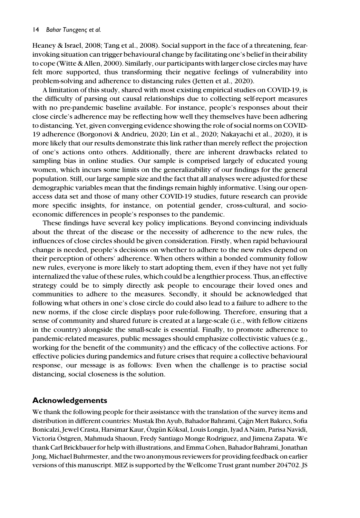Heaney & Israel, 2008; Tang et al., 2008). Social support in the face of a threatening, fearinvoking situation can trigger behavioural change by facilitating one's belief in their ability to cope (Witte & Allen, 2000). Similarly, our participants with larger close circles may have felt more supported, thus transforming their negative feelings of vulnerability into problem-solving and adherence to distancing rules (Jetten et al., 2020).

A limitation of this study, shared with most existing empirical studies on COVID-19, is the difficulty of parsing out causal relationships due to collecting self-report measures with no pre-pandemic baseline available. For instance, people's responses about their close circle's adherence may be reflecting how well they themselves have been adhering to distancing. Yet, given converging evidence showing the role of social norms on COVID-19 adherence (Borgonovi & Andrieu, 2020; Lin et al., 2020; Nakayachi et al., 2020), it is more likely that our results demonstrate this link rather than merely reflect the projection of one's actions onto others. Additionally, there are inherent drawbacks related to sampling bias in online studies. Our sample is comprised largely of educated young women, which incurs some limits on the generalizability of our findings for the general population. Still, our large sample size and the fact that all analyses were adjusted for these demographic variables mean that the findings remain highly informative. Using our openaccess data set and those of many other COVID-19 studies, future research can provide more specific insights, for instance, on potential gender, cross-cultural, and socioeconomic differences in people's responses to the pandemic.

These findings have several key policy implications. Beyond convincing individuals about the threat of the disease or the necessity of adherence to the new rules, the influences of close circles should be given consideration. Firstly, when rapid behavioural change is needed, people's decisions on whether to adhere to the new rules depend on their perception of others' adherence. When others within a bonded community follow new rules, everyone is more likely to start adopting them, even if they have not yet fully internalized the value of these rules, which could be a lengthier process. Thus, an effective strategy could be to simply directly ask people to encourage their loved ones and communities to adhere to the measures. Secondly, it should be acknowledged that following what others in one's close circle do could also lead to a failure to adhere to the new norms, if the close circle displays poor rule-following. Therefore, ensuring that a sense of community and shared future is created at a large-scale (i.e., with fellow citizens in the country) alongside the small-scale is essential. Finally, to promote adherence to pandemic-related measures, public messages should emphasize collectivistic values (e.g., working for the benefit of the community) and the efficacy of the collective actions. For effective policies during pandemics and future crises that require a collective behavioural response, our message is as follows: Even when the challenge is to practise social distancing, social closeness is the solution.

## Acknowledgements

We thank the following people for their assistance with the translation of the survey items and distribution in different countries: Mustak Ibn Ayub, Bahador Bahrami, Cagrı Mert Bakırcı, Sofia Bonicalzi, Jewel Crasta, Harsimar Kaur, Özgün Köksal, Louis Longin, Iyad A Naim, Parisa Navidi, Victoria Ostgren, Mahmuda Shaoun, Fredy Santiago Monge Rodriguez, and Jimena Zapata. We € thank Carl Brickbauer for help with illustrations, and Emma Cohen, Bahador Bahrami, Jonathan Jong, Michael Buhrmester, and the two anonymous reviewers for providing feedback on earlier versions of this manuscript. MEZ is supported by the Wellcome Trust grant number 204702. JS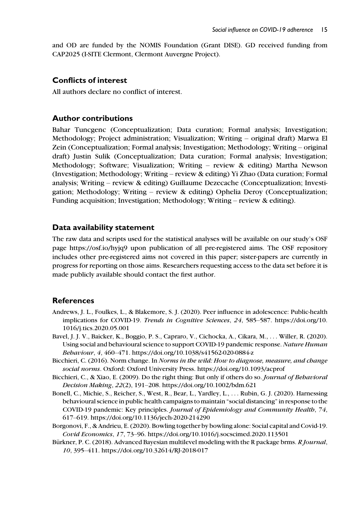and OD are funded by the NOMIS Foundation (Grant DISE). GD received funding from CAP2025 (I-SITE Clermont, Clermont Auvergne Project).

#### Conflicts of interest

All authors declare no conflict of interest.

#### Author contributions

Bahar Tuncgenc (Conceptualization; Data curation; Formal analysis; Investigation; Methodology; Project administration; Visualization; Writing – original draft) Marwa El Zein (Conceptualization; Formal analysis; Investigation; Methodology; Writing – original draft) Justin Sulik (Conceptualization; Data curation; Formal analysis; Investigation; Methodology; Software; Visualization; Writing – review & editing) Martha Newson (Investigation; Methodology; Writing – review & editing) Yi Zhao (Data curation; Formal analysis; Writing – review & editing) Guillaume Dezecache (Conceptualization; Investigation; Methodology; Writing – review & editing) Ophelia Deroy (Conceptualization; Funding acquisition; Investigation; Methodology; Writing – review & editing).

#### Data availability statement

The raw data and scripts used for the statistical analyses will be available on our study's OSF page<https://osf.io/hyjq9> upon publication of all pre-registered aims. The OSF repository includes other pre-registered aims not covered in this paper; sister-papers are currently in progress for reporting on those aims. Researchers requesting access to the data set before it is made publicly available should contact the first author.

## References

- Andrews, J. L., Foulkes, L., & Blakemore, S. J. (2020). Peer influence in adolescence: Public-health implications for COVID-19. Trends in Cognitive Sciences, 24, 585–587. [https://doi.org/10.](https://doi.org/10.1016/j.tics.2020.05.001) [1016/j.tics.2020.05.001](https://doi.org/10.1016/j.tics.2020.05.001)
- Bavel, J. J. V., Baicker, K., Boggio, P. S., Capraro, V., Cichocka, A., Cikara, M., ... Willer, R. (2020). Using social and behavioural science to support COVID-19 pandemic response. Nature Human Behaviour, 4, 460–471.<https://doi.org/10.1038/s41562-020-0884-z>
- Bicchieri, C. (2016). Norm change. In Norms in the wild: How to diagnose, measure, and change social norms. Oxford: Oxford University Press.<https://doi.org/10.1093/acprof>
- Bicchieri, C., & Xiao, E. (2009). Do the right thing: But only if others do so. Journal of Behavioral Decision Making, 22(2), 191–208.<https://doi.org/10.1002/bdm.621>
- Bonell, C., Michie, S., Reicher, S., West, R., Bear, L., Yardley, L., ... Rubin, G. J. (2020). Harnessing behavioural science in public health campaigns to maintain "social distancing" in response to the COVID-19 pandemic: Key principles. Journal of Epidemiology and Community Health, 74, 617–619.<https://doi.org/10.1136/jech-2020-214290>
- Borgonovi, F., & Andrieu, E. (2020). Bowling together by bowling alone: Social capital and Covid-19. Covid Economics, 17, 73–96.<https://doi.org/10.1016/j.socscimed.2020.113501>
- Bürkner, P. C. (2018). Advanced Bayesian multilevel modeling with the R package brms. R Journal, 10, 395–411.<https://doi.org/10.32614/RJ-2018-017>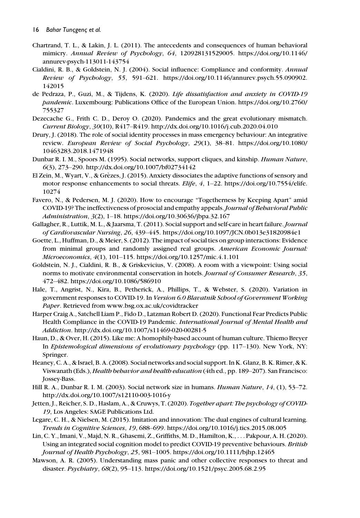- Chartrand, T. L., & Lakin, J. L. (2011). The antecedents and consequences of human behavioral mimicry. Annual Review of Psychology, 64, 120928131529005. [https://doi.org/10.1146/](https://doi.org/10.1146/annurev-psych-113011-143754) [annurev-psych-113011-143754](https://doi.org/10.1146/annurev-psych-113011-143754)
- Cialdini, R. B., & Goldstein, N. J. (2004). Social influence: Compliance and conformity. Annual Review of Psychology, 55, 591–621. [https://doi.org/10.1146/annurev.psych.55.090902.](https://doi.org/10.1146/annurev.psych.55.090902.142015) [142015](https://doi.org/10.1146/annurev.psych.55.090902.142015)
- de Pedraza, P., Guzi, M., & Tijdens, K. (2020). Life dissatisfaction and anxiety in COVID-19 pandemic. Luxembourg: Publications Office of the European Union. [https://doi.org/10.2760/](https://doi.org/10.2760/755327) [755327](https://doi.org/10.2760/755327)
- Dezecache G., Frith C. D., Deroy O. (2020). Pandemics and the great evolutionary mismatch. Current Biology, 30(10), R417–R419.<http://dx.doi.org/10.1016/j.cub.2020.04.010>
- Drury, J. (2018). The role of social identity processes in mass emergency behaviour: An integrative review. European Review of Social Psychology, 29(1), 38–81. [https://doi.org/10.1080/](https://doi.org/10.1080/10463283.2018.1471948) [10463283.2018.1471948](https://doi.org/10.1080/10463283.2018.1471948)
- Dunbar R. I. M., Spoors M. (1995). Social networks, support cliques, and kinship. Human Nature, 6(3), 273–290.<http://dx.doi.org/10.1007/bf02734142>
- El Zein, M., Wyart, V., & Grezes, J. (2015). Anxiety dissociates the adaptive functions of sensory and motor response enhancements to social threats. Elife, 4, 1-22. [https://doi.org/10.7554/elife.](https://doi.org/10.7554/elife.10274) [10274](https://doi.org/10.7554/elife.10274)
- Favero, N., & Pedersen, M. J. (2020). How to encourage "Togetherness by Keeping Apart" amid COVID-19? The ineffectiveness of prosocial and empathy appeals.Journal of Behavioral Public Administration, 3(2), 1–18.<https://doi.org/10.30636/jbpa.32.167>
- Gallagher, R., Luttik, M. L., & Jaarsma, T. (2011). Social support and self-care in heart failure. *Journal* of Cardiovascular Nursing, 26, 439–445.<https://doi.org/10.1097/JCN.0b013e31820984e1>
- Goette, L., Huffman, D., & Meier, S. (2012). The impact of social ties on group interactions: Evidence from minimal groups and randomly assigned real groups. American Economic Journal: Microeconomics, 4(1), 101–115.<https://doi.org/10.1257/mic.4.1.101>
- Goldstein, N. J., Cialdini, R. B., & Griskevicius, V. (2008). A room with a viewpoint: Using social norms to motivate environmental conservation in hotels. Journal of Consumer Research, 35, 472–482.<https://doi.org/10.1086/586910>
- Hale, T., Angrist, N., Kira, B., Petherick, A., Phillips, T., & Webster, S. (2020). Variation in government responses to COVID-19. In Version 6.0 Blavatnik School of Government Working Paper. Retrieved from [www.bsg.ox.ac.uk/covidtracker](http://www.bsg.ox.ac.uk/covidtracker)
- Harper Craig A., Satchell Liam P., Fido D., Latzman Robert D. (2020). Functional Fear Predicts Public Health Compliance in the COVID-19 Pandemic. International Journal of Mental Health and Addiction.<http://dx.doi.org/10.1007/s11469-020-00281-5>
- Haun, D., & Over, H. (2015). Like me: A homophily-based account of human culture. Thiemo Breyer In Epistemological dimensions of evolutionary psychology (pp. 117–130). New York, NY: Springer.
- Heaney, C. A., & Israel, B. A. (2008). Social networks and social support. In K. Glanz, B. K. Rimer, & K. Viswanath (Eds.), *Health behavior and health education* (4th ed., pp. 189–207). San Francisco: Jossey-Bass.
- Hill R. A., Dunbar R. I. M. (2003). Social network size in humans. Human Nature, 14, (1), 53-72. <http://dx.doi.org/10.1007/s12110-003-1016-y>
- Jetten, J., Reicher, S. D., Haslam, A., & Cruwys, T. (2020). Together apart: The psychology of COVID-19, Los Angeles: SAGE Publications Ltd.
- Legare, C. H., & Nielsen, M. (2015). Imitation and innovation: The dual engines of cultural learning. Trends in Cognitive Sciences, 19, 688–699.<https://doi.org/10.1016/j.tics.2015.08.005>
- Lin, C. Y., Imani, V., Majd, N. R., Ghasemi, Z., Griffiths, M. D., Hamilton, K., ... Pakpour, A. H. (2020). Using an integrated social cognition model to predict COVID-19 preventive behaviours. British Journal of Health Psychology, 25, 981–1005.<https://doi.org/10.1111/bjhp.12465>
- Mawson, A. R. (2005). Understanding mass panic and other collective responses to threat and disaster. Psychiatry, 68(2), 95–113.<https://doi.org/10.1521/psyc.2005.68.2.95>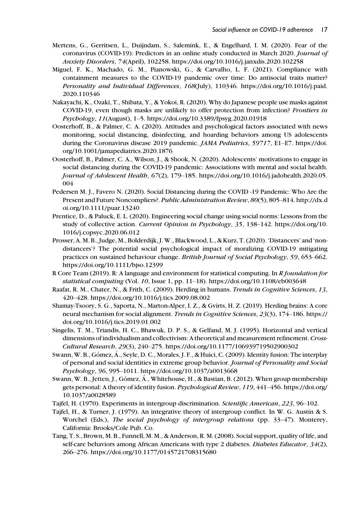- Mertens, G., Gerritsen, L., Duijndam, S., Salemink, E., & Engelhard, I. M. (2020). Fear of the coronavirus (COVID-19): Predictors in an online study conducted in March 2020. Journal of Anxiety Disorders, 74(April), 102258.<https://doi.org/10.1016/j.janxdis.2020.102258>
- Miguel, F. K., Machado, G. M., Pianowski, G., & Carvalho, L. F. (2021). Compliance with containment measures to the COVID-19 pandemic over time: Do antisocial traits matter? Personality and Individual Differences, 168(July), 110346. [https://doi.org/10.1016/j.paid.](https://doi.org/10.1016/j.paid.2020.110346) [2020.110346](https://doi.org/10.1016/j.paid.2020.110346)
- Nakayachi, K., Ozaki, T., Shibata, Y., & Yokoi, R. (2020). Why do Japanese people use masks against COVID-19, even though masks are unlikely to offer protection from infection? Frontiers in Psychology, 11(August), 1–5.<https://doi.org/10.3389/fpsyg.2020.01918>
- Oosterhoff, B., & Palmer, C. A. (2020). Attitudes and psychological factors associated with news monitoring, social distancing, disinfecting, and hoarding behaviors among US adolescents during the Coronavirus disease 2019 pandemic. JAMA Pediatrics, 59717, E1–E7. [https://doi.](https://doi.org/10.1001/jamapediatrics.2020.1876) [org/10.1001/jamapediatrics.2020.1876](https://doi.org/10.1001/jamapediatrics.2020.1876)
- Oosterhoff, B., Palmer, C. A., Wilson, J., & Shook, N. (2020). Adolescents' motivations to engage in social distancing during the COVID-19 pandemic: Associations with mental and social health. Journal of Adolescent Health, 67(2), 179–185. [https://doi.org/10.1016/j.jadohealth.2020.05.](https://doi.org/10.1016/j.jadohealth.2020.05.004) [004](https://doi.org/10.1016/j.jadohealth.2020.05.004)
- Pedersen M. J., Favero N. (2020). Social Distancing during the COVID -19 Pandemic: Who Are the Present and Future Noncompliers?. Public Administration Review, 80(5), 805–814. [http://dx.d](http://dx.doi.org/10.1111/puar.13240) [oi.org/10.1111/puar.13240](http://dx.doi.org/10.1111/puar.13240)
- Prentice, D., & Paluck, E. L. (2020). Engineering social change using social norms: Lessons from the study of collective action. Current Opinion in Psychology, 35, 138–142. [https://doi.org/10.](https://doi.org/10.1016/j.copsyc.2020.06.012) [1016/j.copsyc.2020.06.012](https://doi.org/10.1016/j.copsyc.2020.06.012)
- Prosser, A. M. B., Judge, M., Bolderdijk, J. W., Blackwood, L., & Kurz, T. (2020). 'Distancers' and 'nondistancers'? The potential social psychological impact of moralizing COVID-19 mitigating practices on sustained behaviour change. British Journal of Social Psychology, 59, 653–662. <https://doi.org/10.1111/bjso.12399>
- R Core Team (2019). R: A language and environment for statistical computing. In R foundation for statistical computing (Vol. 10, Issue 1, pp. 11–18).<https://doi.org/10.1108/eb003648>
- Raafat, R. M., Chater, N., & Frith, C. (2009). Herding in humans. Trends in Cognitive Sciences, 13, 420–428.<https://doi.org/10.1016/j.tics.2009.08.002>
- Shamay-Tsoory, S. G., Saporta, N., Marton-Alper, I. Z., & Gvirts, H. Z. (2019). Herding brains: A core neural mechanism for social alignment. Trends in Cognitive Sciences, 23(3), 174–186. [https://](https://doi.org/10.1016/j.tics.2019.01.002) [doi.org/10.1016/j.tics.2019.01.002](https://doi.org/10.1016/j.tics.2019.01.002)
- Singelis, T. M., Triandis, H. C., Bhawuk, D. P. S., & Gelfand, M. J. (1995). Horizontal and vertical dimensions of individualism and collectivism: A theoretical and measurement refinement. Cross-Cultural Research, 29(3), 240–275.<https://doi.org/10.1177/106939719502900302>
- Swann, W. B., Gómez, Á., Seyle, D. C., Morales, J. F., & Huici, C. (2009). Identity fusion: The interplay of personal and social identities in extreme group behavior. Journal of Personality and Social Psychology, 96, 995–1011.<https://doi.org/10.1037/a0013668>
- Swann, W. B., Jetten, J., Gómez, Á., Whitehouse, H., & Bastian, B. (2012). When group membership gets personal: A theory of identity fusion. Psychological Review, 119, 441–456. [https://doi.org/](https://doi.org/10.1037/a0028589) [10.1037/a0028589](https://doi.org/10.1037/a0028589)
- Tajfel, H. (1970). Experiments in intergroup discrimination. Scientific American, 223, 96–102.
- Tajfel, H., & Turner, J. (1979). An integrative theory of intergroup conflict. In W. G. Austin & S. Worchel (Eds.), The social psychology of intergroup relations (pp. 33-47). Monterey, California: Brooks/Cole Pub. Co.
- Tang, T. S., Brown, M. B., Funnell, M. M., & Anderson, R. M. (2008). Social support, quality of life, and self-care behaviors among African Americans with type 2 diabetes. Diabetes Educator, 34(2), 266–276.<https://doi.org/10.1177/0145721708315680>